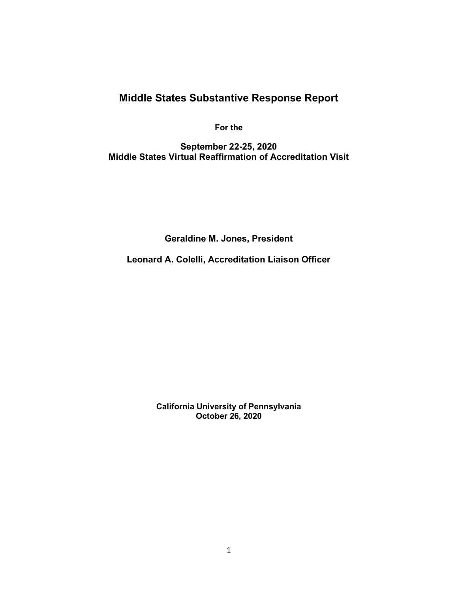# Middle States Substantive Response Report

For the

September 22-25, 2020 Middle States Virtual Reaffirmation of Accreditation Visit

Geraldine M. Jones, President

Leonard A. Colelli, Accreditation Liaison Officer

California University of Pennsylvania October 26, 2020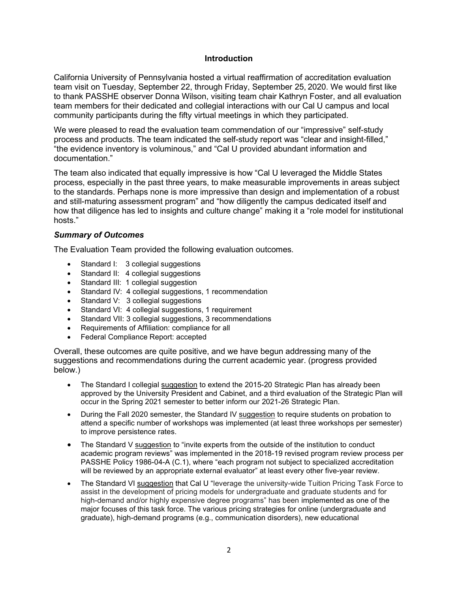### Introduction

California University of Pennsylvania hosted a virtual reaffirmation of accreditation evaluation team visit on Tuesday, September 22, through Friday, September 25, 2020. We would first like to thank PASSHE observer Donna Wilson, visiting team chair Kathryn Foster, and all evaluation team members for their dedicated and collegial interactions with our Cal U campus and local community participants during the fifty virtual meetings in which they participated.

We were pleased to read the evaluation team commendation of our "impressive" self-study process and products. The team indicated the self-study report was "clear and insight-filled," "the evidence inventory is voluminous," and "Cal U provided abundant information and documentation."

The team also indicated that equally impressive is how "Cal U leveraged the Middle States process, especially in the past three years, to make measurable improvements in areas subject to the standards. Perhaps none is more impressive than design and implementation of a robust and still-maturing assessment program" and "how diligently the campus dedicated itself and how that diligence has led to insights and culture change" making it a "role model for institutional hosts."

#### Summary of Outcomes

The Evaluation Team provided the following evaluation outcomes.

- Standard I: 3 collegial suggestions
- Standard II: 4 collegial suggestions
- Standard III: 1 collegial suggestion
- Standard IV: 4 collegial suggestions, 1 recommendation
- Standard V: 3 collegial suggestions
- Standard VI: 4 collegial suggestions, 1 requirement
- Standard VII: 3 collegial suggestions, 3 recommendations
- Requirements of Affiliation: compliance for all
- Federal Compliance Report: accepted

Overall, these outcomes are quite positive, and we have begun addressing many of the suggestions and recommendations during the current academic year. (progress provided below.)

- The Standard I collegial suggestion to extend the 2015-20 Strategic Plan has already been approved by the University President and Cabinet, and a third evaluation of the Strategic Plan will occur in the Spring 2021 semester to better inform our 2021-26 Strategic Plan.
- During the Fall 2020 semester, the Standard IV suggestion to require students on probation to attend a specific number of workshops was implemented (at least three workshops per semester) to improve persistence rates.
- The Standard V suggestion to "invite experts from the outside of the institution to conduct academic program reviews" was implemented in the 2018-19 revised program review process per PASSHE Policy 1986-04-A (C.1), where "each program not subject to specialized accreditation will be reviewed by an appropriate external evaluator" at least every other five-year review.
- The Standard VI suggestion that Cal U "leverage the university-wide Tuition Pricing Task Force to assist in the development of pricing models for undergraduate and graduate students and for high-demand and/or highly expensive degree programs" has been implemented as one of the major focuses of this task force. The various pricing strategies for online (undergraduate and graduate), high-demand programs (e.g., communication disorders), new educational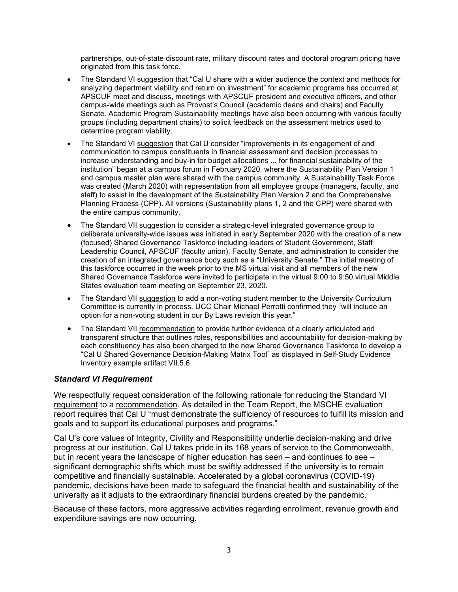partnerships, out-of-state discount rate, military discount rates and doctoral program pricing have originated from this task force.

- The Standard VI suggestion that "Cal U share with a wider audience the context and methods for analyzing department viability and return on investment" for academic programs has occurred at APSCUF meet and discuss, meetings with APSCUF president and executive officers, and other campus-wide meetings such as Provost's Council (academic deans and chairs) and Faculty Senate. Academic Program Sustainability meetings have also been occurring with various faculty groups (including department chairs) to solicit feedback on the assessment metrics used to determine program viability.
- The Standard VI suggestion that Cal U consider "improvements in its engagement of and communication to campus constituents in financial assessment and decision processes to increase understanding and buy-in for budget allocations ... for financial sustainability of the institution" began at a campus forum in February 2020, where the Sustainability Plan Version 1 and campus master plan were shared with the campus community. A Sustainability Task Force was created (March 2020) with representation from all employee groups (managers, faculty, and staff) to assist in the development of the Sustainability Plan Version 2 and the Comprehensive Planning Process (CPP). All versions (Sustainability plans 1, 2 and the CPP) were shared with the entire campus community.
- The Standard VII suggestion to consider a strategic-level integrated governance group to deliberate university-wide issues was initiated in early September 2020 with the creation of a new (focused) Shared Governance Taskforce including leaders of Student Government, Staff Leadership Council, APSCUF (faculty union), Faculty Senate, and administration to consider the creation of an integrated governance body such as a "University Senate." The initial meeting of this taskforce occurred in the week prior to the MS virtual visit and all members of the new Shared Governance Taskforce were invited to participate in the virtual 9:00 to 9:50 virtual Middle States evaluation team meeting on September 23, 2020.
- The Standard VII suggestion to add a non-voting student member to the University Curriculum Committee is currently in process. UCC Chair Michael Perrotti confirmed they "will include an option for a non-voting student in our By Laws revision this year."
- The Standard VII recommendation to provide further evidence of a clearly articulated and transparent structure that outlines roles, responsibilities and accountability for decision-making by each constituency has also been charged to the new Shared Governance Taskforce to develop a "Cal U Shared Governance Decision-Making Matrix Tool" as displayed in Self-Study Evidence Inventory example artifact VII.5.6.

### Standard VI Requirement

We respectfully request consideration of the following rationale for reducing the Standard VI requirement to a recommendation. As detailed in the Team Report, the MSCHE evaluation report requires that Cal U "must demonstrate the sufficiency of resources to fulfill its mission and goals and to support its educational purposes and programs."

Cal U's core values of Integrity, Civility and Responsibility underlie decision-making and drive progress at our institution. Cal U takes pride in its 168 years of service to the Commonwealth, but in recent years the landscape of higher education has seen – and continues to see – significant demographic shifts which must be swiftly addressed if the university is to remain competitive and financially sustainable. Accelerated by a global coronavirus (COVID-19) pandemic, decisions have been made to safeguard the financial health and sustainability of the university as it adjusts to the extraordinary financial burdens created by the pandemic.

Because of these factors, more aggressive activities regarding enrollment, revenue growth and expenditure savings are now occurring.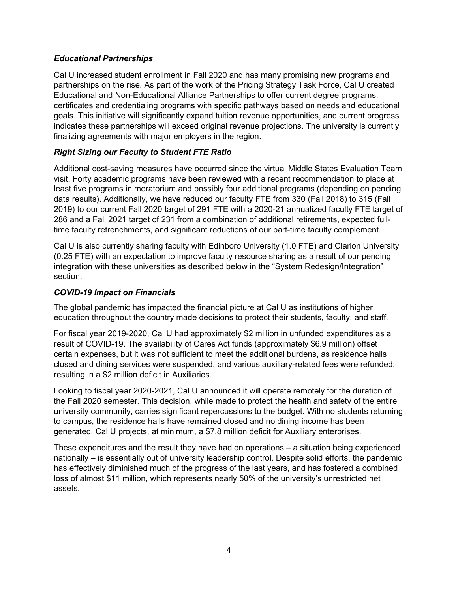## Educational Partnerships

Cal U increased student enrollment in Fall 2020 and has many promising new programs and partnerships on the rise. As part of the work of the Pricing Strategy Task Force, Cal U created Educational and Non-Educational Alliance Partnerships to offer current degree programs, certificates and credentialing programs with specific pathways based on needs and educational goals. This initiative will significantly expand tuition revenue opportunities, and current progress indicates these partnerships will exceed original revenue projections. The university is currently finalizing agreements with major employers in the region.

## Right Sizing our Faculty to Student FTE Ratio

Additional cost-saving measures have occurred since the virtual Middle States Evaluation Team visit. Forty academic programs have been reviewed with a recent recommendation to place at least five programs in moratorium and possibly four additional programs (depending on pending data results). Additionally, we have reduced our faculty FTE from 330 (Fall 2018) to 315 (Fall 2019) to our current Fall 2020 target of 291 FTE with a 2020-21 annualized faculty FTE target of 286 and a Fall 2021 target of 231 from a combination of additional retirements, expected fulltime faculty retrenchments, and significant reductions of our part-time faculty complement.

Cal U is also currently sharing faculty with Edinboro University (1.0 FTE) and Clarion University (0.25 FTE) with an expectation to improve faculty resource sharing as a result of our pending integration with these universities as described below in the "System Redesign/Integration" section.

## COVID-19 Impact on Financials

The global pandemic has impacted the financial picture at Cal U as institutions of higher education throughout the country made decisions to protect their students, faculty, and staff.

For fiscal year 2019-2020, Cal U had approximately \$2 million in unfunded expenditures as a result of COVID-19. The availability of Cares Act funds (approximately \$6.9 million) offset certain expenses, but it was not sufficient to meet the additional burdens, as residence halls closed and dining services were suspended, and various auxiliary-related fees were refunded, resulting in a \$2 million deficit in Auxiliaries.

Looking to fiscal year 2020-2021, Cal U announced it will operate remotely for the duration of the Fall 2020 semester. This decision, while made to protect the health and safety of the entire university community, carries significant repercussions to the budget. With no students returning to campus, the residence halls have remained closed and no dining income has been generated. Cal U projects, at minimum, a \$7.8 million deficit for Auxiliary enterprises.

These expenditures and the result they have had on operations – a situation being experienced nationally – is essentially out of university leadership control. Despite solid efforts, the pandemic has effectively diminished much of the progress of the last years, and has fostered a combined loss of almost \$11 million, which represents nearly 50% of the university's unrestricted net assets.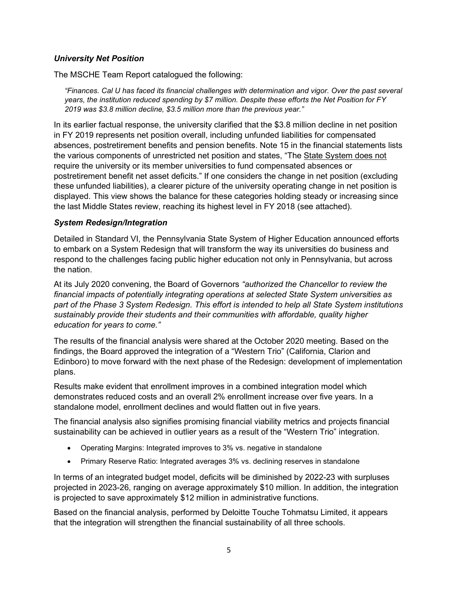## University Net Position

The MSCHE Team Report catalogued the following:

"Finances. Cal U has faced its financial challenges with determination and vigor. Over the past several years, the institution reduced spending by \$7 million. Despite these efforts the Net Position for FY 2019 was \$3.8 million decline, \$3.5 million more than the previous year."

In its earlier factual response, the university clarified that the \$3.8 million decline in net position in FY 2019 represents net position overall, including unfunded liabilities for compensated absences, postretirement benefits and pension benefits. Note 15 in the financial statements lists the various components of unrestricted net position and states, "The State System does not require the university or its member universities to fund compensated absences or postretirement benefit net asset deficits." If one considers the change in net position (excluding these unfunded liabilities), a clearer picture of the university operating change in net position is displayed. This view shows the balance for these categories holding steady or increasing since the last Middle States review, reaching its highest level in FY 2018 (see attached).

## System Redesign/Integration

Detailed in Standard VI, the Pennsylvania State System of Higher Education announced efforts to embark on a System Redesign that will transform the way its universities do business and respond to the challenges facing public higher education not only in Pennsylvania, but across the nation.

At its July 2020 convening, the Board of Governors "authorized the Chancellor to review the financial impacts of potentially integrating operations at selected State System universities as part of the Phase 3 System Redesign. This effort is intended to help all State System institutions sustainably provide their students and their communities with affordable, quality higher education for years to come."

The results of the financial analysis were shared at the October 2020 meeting. Based on the findings, the Board approved the integration of a "Western Trio" (California, Clarion and Edinboro) to move forward with the next phase of the Redesign: development of implementation plans.

Results make evident that enrollment improves in a combined integration model which demonstrates reduced costs and an overall 2% enrollment increase over five years. In a standalone model, enrollment declines and would flatten out in five years.

The financial analysis also signifies promising financial viability metrics and projects financial sustainability can be achieved in outlier years as a result of the "Western Trio" integration.

- Operating Margins: Integrated improves to 3% vs. negative in standalone
- Primary Reserve Ratio: Integrated averages 3% vs. declining reserves in standalone

In terms of an integrated budget model, deficits will be diminished by 2022-23 with surpluses projected in 2023-26, ranging on average approximately \$10 million. In addition, the integration is projected to save approximately \$12 million in administrative functions.

Based on the financial analysis, performed by Deloitte Touche Tohmatsu Limited, it appears that the integration will strengthen the financial sustainability of all three schools.